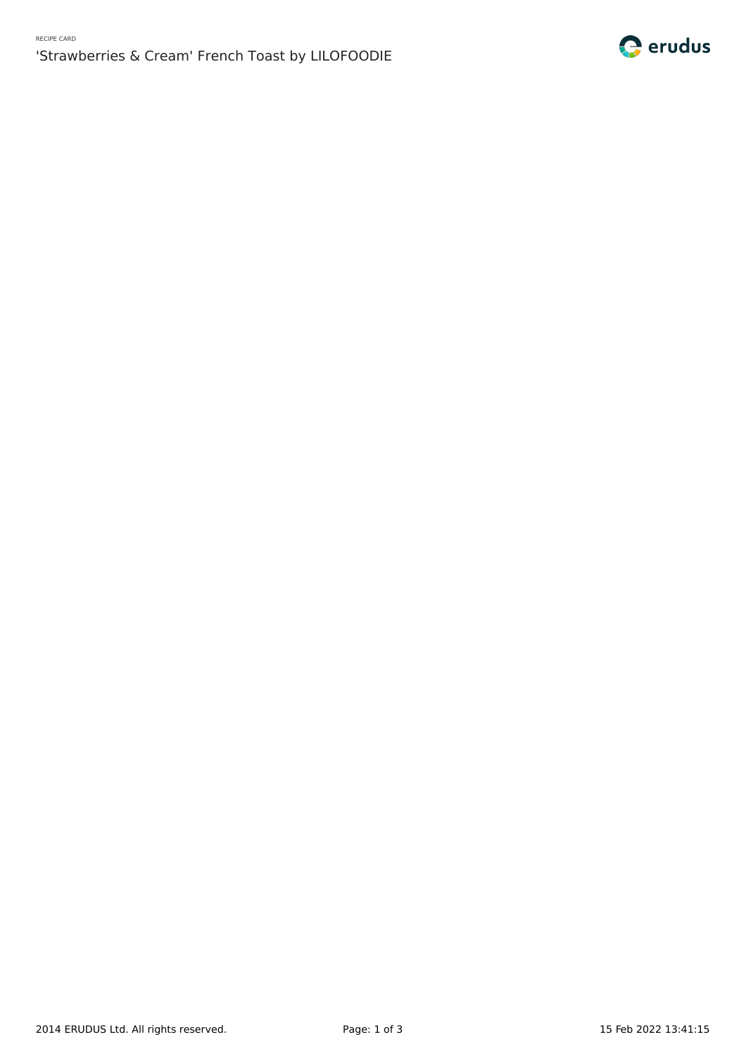# 'Strawberries & Cream' French Toast by LILOFOODIE

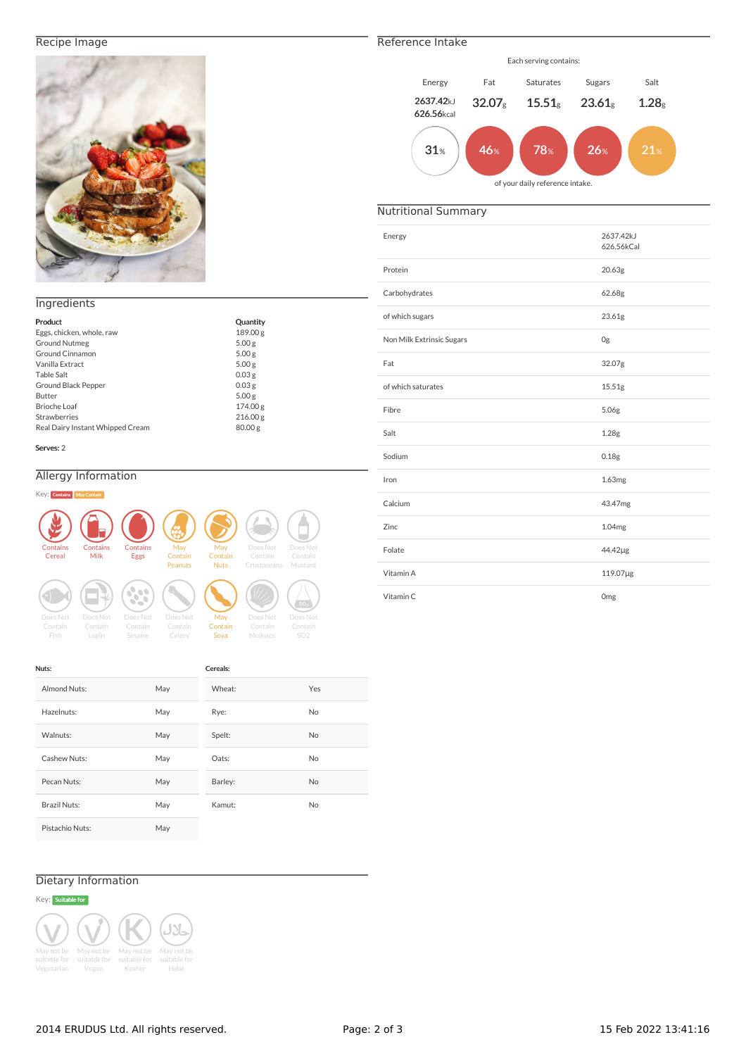### Recipe Image



### **Ingredients**

| Product                          | Quantity          |
|----------------------------------|-------------------|
| Eggs, chicken, whole, raw        | 189.00 g          |
| <b>Ground Nutmeg</b>             | 5.00 <sub>g</sub> |
| Ground Cinnamon                  | 5.00 g            |
| Vanilla Extract                  | 5.00 <sub>g</sub> |
| <b>Table Salt</b>                | 0.03 <sub>g</sub> |
| Ground Black Pepper              | 0.03 <sub>g</sub> |
| Butter                           | 5.00 <sub>g</sub> |
| Brioche Loaf                     | 174.00 g          |
| <b>Strawberries</b>              | 216.00 g          |
| Real Dairy Instant Whipped Cream | 80.00 g           |

#### Serves: 2

### Allergy Information



| Nuts:               |     | Cereals: |           |
|---------------------|-----|----------|-----------|
| Almond Nuts:        | May | Wheat:   | Yes       |
| Hazelnuts:          | May | Rye:     | <b>No</b> |
| Walnuts:            | May | Spelt:   | <b>No</b> |
| Cashew Nuts:        | May | Oats:    | <b>No</b> |
| Pecan Nuts:         | May | Barley:  | <b>No</b> |
| <b>Brazil Nuts:</b> | May | Kamut:   | <b>No</b> |
| Pistachio Nuts:     | May |          |           |

## Dietary Information



# Reference Intake

## $31\%$  | 46% | 78% | 26% | 21% Each serving contains: Energy Fat Saturates Sugars Salt 2637.42kJ 626.56kcal  $32.07_g$   $15.51_g$   $23.61_g$   $1.28_g$ of your daily reference intake.

### Nutritional Summary

| Energy                    | 2637.42kJ<br>626.56kCal |
|---------------------------|-------------------------|
| Protein                   | 20.63g                  |
| Carbohydrates             | 62.68g                  |
| of which sugars           | 23.61g                  |
| Non Milk Extrinsic Sugars | 0g                      |
| Fat                       | 32.07g                  |
| of which saturates        | 15.51g                  |
| Fibre                     | 5.06g                   |
| Salt                      | 1.28g                   |
| Sodium                    | 0.18g                   |
| Iron                      | 1.63mg                  |
| Calcium                   | 43.47mg                 |
| Zinc.                     | 1.04mg                  |
| Folate                    | 44.42µg                 |
| Vitamin A                 | 119.07µg                |
| Vitamin C                 | Omg                     |

2014 ERUDUS Ltd. All rights reserved. The Page: 2 of 3 15 Feb 2022 13:41:16